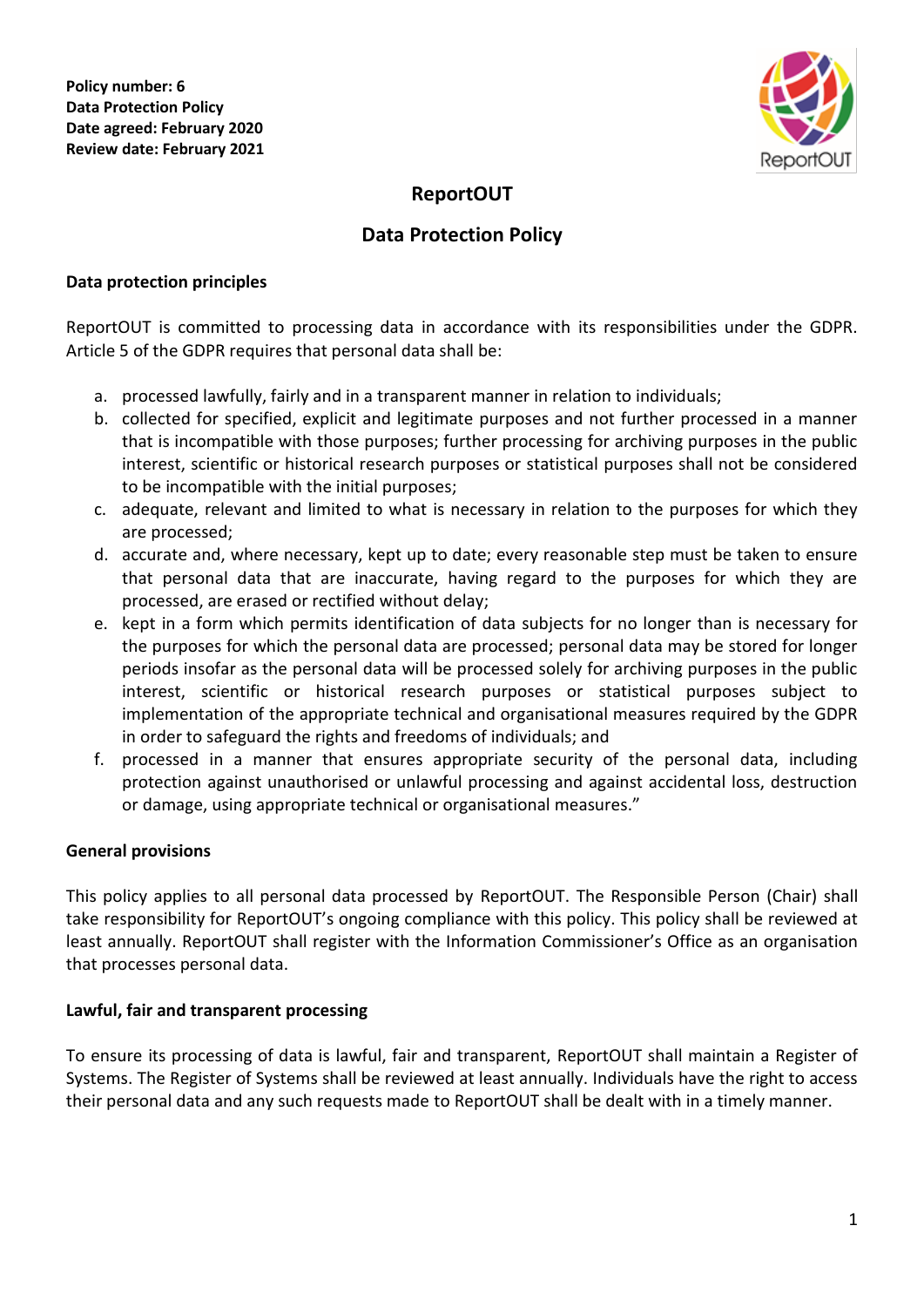

# **ReportOUT**

## **Data Protection Policy**

#### **Data protection principles**

ReportOUT is committed to processing data in accordance with its responsibilities under the GDPR. Article 5 of the GDPR requires that personal data shall be:

- a. processed lawfully, fairly and in a transparent manner in relation to individuals;
- b. collected for specified, explicit and legitimate purposes and not further processed in a manner that is incompatible with those purposes; further processing for archiving purposes in the public interest, scientific or historical research purposes or statistical purposes shall not be considered to be incompatible with the initial purposes;
- c. adequate, relevant and limited to what is necessary in relation to the purposes for which they are processed;
- d. accurate and, where necessary, kept up to date; every reasonable step must be taken to ensure that personal data that are inaccurate, having regard to the purposes for which they are processed, are erased or rectified without delay;
- e. kept in a form which permits identification of data subjects for no longer than is necessary for the purposes for which the personal data are processed; personal data may be stored for longer periods insofar as the personal data will be processed solely for archiving purposes in the public interest, scientific or historical research purposes or statistical purposes subject to implementation of the appropriate technical and organisational measures required by the GDPR in order to safeguard the rights and freedoms of individuals; and
- f. processed in a manner that ensures appropriate security of the personal data, including protection against unauthorised or unlawful processing and against accidental loss, destruction or damage, using appropriate technical or organisational measures."

## **General provisions**

This policy applies to all personal data processed by ReportOUT. The Responsible Person (Chair) shall take responsibility for ReportOUT's ongoing compliance with this policy. This policy shall be reviewed at least annually. ReportOUT shall register with the Information Commissioner's Office as an organisation that processes personal data.

## **Lawful, fair and transparent processing**

To ensure its processing of data is lawful, fair and transparent, ReportOUT shall maintain a Register of Systems. The Register of Systems shall be reviewed at least annually. Individuals have the right to access their personal data and any such requests made to ReportOUT shall be dealt with in a timely manner.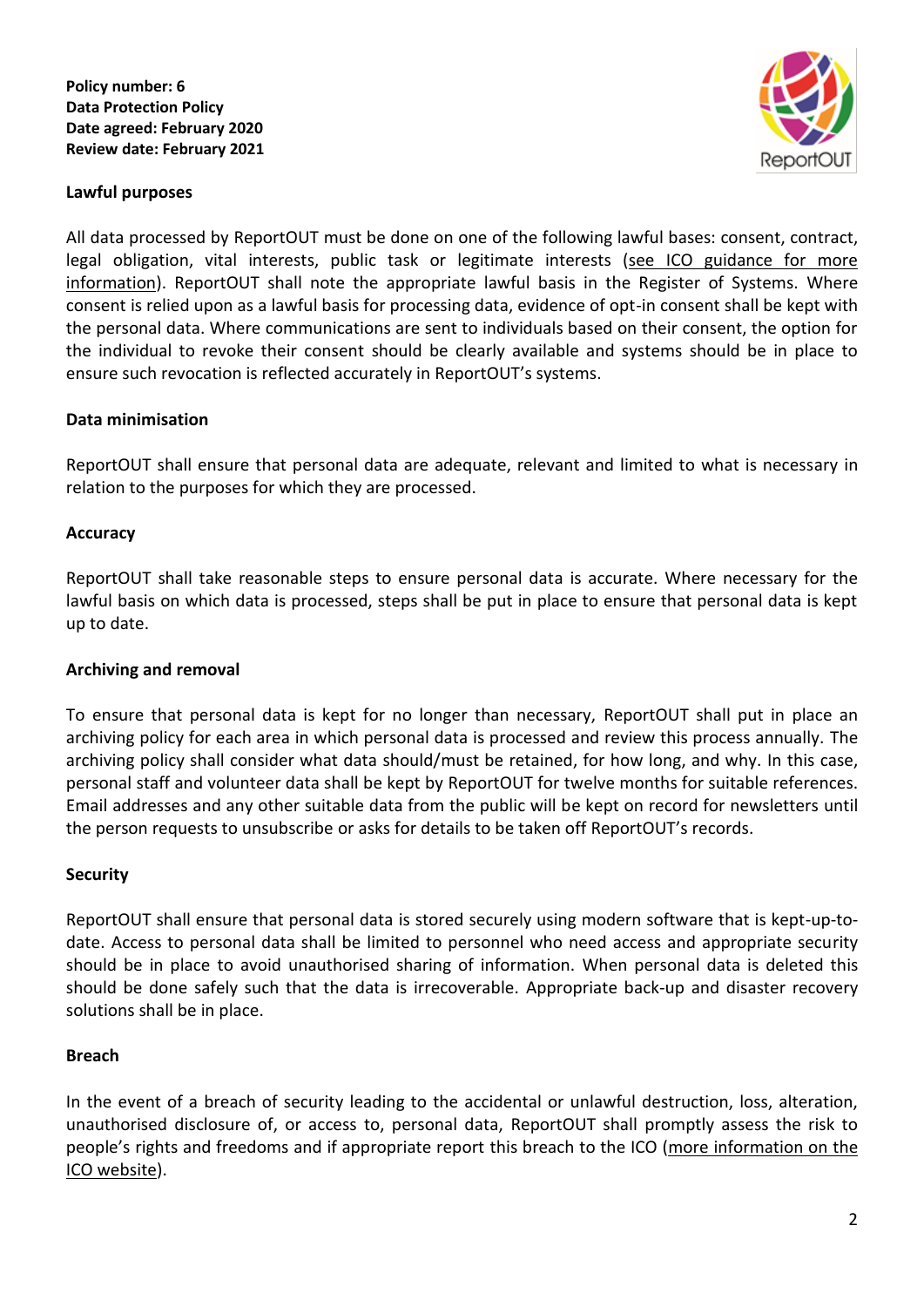



All data processed by ReportOUT must be done on one of the following lawful bases: consent, contract, legal obligation, vital interests, public task or legitimate interests (see ICO guidance for more [information\)](https://ico.org.uk/for-organisations/guide-to-the-general-data-protection-regulation-gdpr/lawful-basis-for-processing/). ReportOUT shall note the appropriate lawful basis in the Register of Systems. Where consent is relied upon as a lawful basis for processing data, evidence of opt-in consent shall be kept with the personal data. Where communications are sent to individuals based on their consent, the option for the individual to revoke their consent should be clearly available and systems should be in place to ensure such revocation is reflected accurately in ReportOUT's systems.

## **Data minimisation**

ReportOUT shall ensure that personal data are adequate, relevant and limited to what is necessary in relation to the purposes for which they are processed.

## **Accuracy**

ReportOUT shall take reasonable steps to ensure personal data is accurate. Where necessary for the lawful basis on which data is processed, steps shall be put in place to ensure that personal data is kept up to date.

## **Archiving and removal**

To ensure that personal data is kept for no longer than necessary, ReportOUT shall put in place an archiving policy for each area in which personal data is processed and review this process annually. The archiving policy shall consider what data should/must be retained, for how long, and why. In this case, personal staff and volunteer data shall be kept by ReportOUT for twelve months for suitable references. Email addresses and any other suitable data from the public will be kept on record for newsletters until the person requests to unsubscribe or asks for details to be taken off ReportOUT's records.

## **Security**

ReportOUT shall ensure that personal data is stored securely using modern software that is kept-up-todate. Access to personal data shall be limited to personnel who need access and appropriate security should be in place to avoid unauthorised sharing of information. When personal data is deleted this should be done safely such that the data is irrecoverable. Appropriate back-up and disaster recovery solutions shall be in place.

## **Breach**

In the event of a breach of security leading to the accidental or unlawful destruction, loss, alteration, unauthorised disclosure of, or access to, personal data, ReportOUT shall promptly assess the risk to people's rights and freedoms and if appropriate report this breach to the ICO [\(more information on the](https://ico.org.uk/for-organisations/guide-to-the-general-data-protection-regulation-gdpr/personal-data-breaches/)  [ICO website\)](https://ico.org.uk/for-organisations/guide-to-the-general-data-protection-regulation-gdpr/personal-data-breaches/).